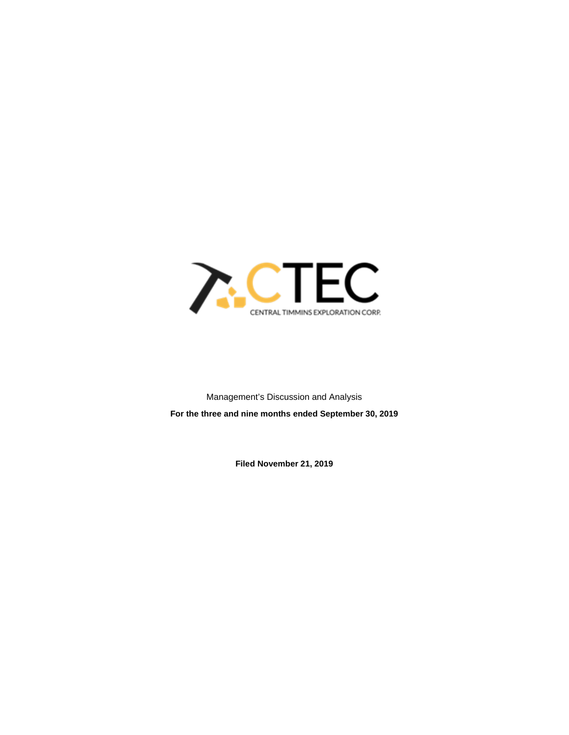

Management's Discussion and Analysis **For the three and nine months ended September 30, 2019**

**Filed November 21, 2019**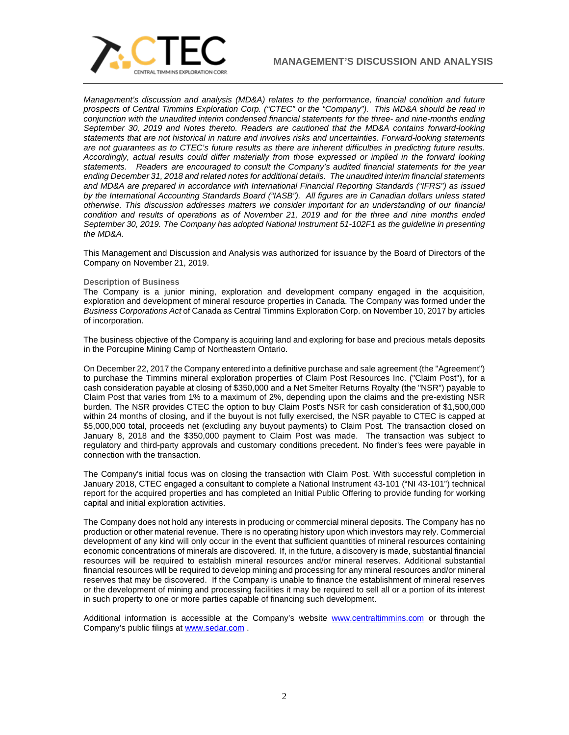

*Management's discussion and analysis (MD&A) relates to the performance, financial condition and future prospects of Central Timmins Exploration Corp. ("CTEC" or the "Company"). This MD&A should be read in conjunction with the unaudited interim condensed financial statements for the three- and nine-months ending September 30, 2019 and Notes thereto. Readers are cautioned that the MD&A contains forward-looking statements that are not historical in nature and involves risks and uncertainties. Forward-looking statements are not guarantees as to CTEC's future results as there are inherent difficulties in predicting future results. Accordingly, actual results could differ materially from those expressed or implied in the forward looking statements. Readers are encouraged to consult the Company's audited financial statements for the year ending December 31, 2018 and related notes for additional details. The unaudited interim financial statements and MD&A are prepared in accordance with International Financial Reporting Standards ("IFRS") as issued by the International Accounting Standards Board ("IASB"). All figures are in Canadian dollars unless stated otherwise. This discussion addresses matters we consider important for an understanding of our financial condition and results of operations as of November 21, 2019 and for the three and nine months ended September 30, 2019. The Company has adopted National Instrument 51-102F1 as the guideline in presenting the MD&A.*

This Management and Discussion and Analysis was authorized for issuance by the Board of Directors of the Company on November 21, 2019.

### **Description of Business**

The Company is a junior mining, exploration and development company engaged in the acquisition, exploration and development of mineral resource properties in Canada. The Company was formed under the *Business Corporations Act* of Canada as Central Timmins Exploration Corp. on November 10, 2017 by articles of incorporation.

The business objective of the Company is acquiring land and exploring for base and precious metals deposits in the Porcupine Mining Camp of Northeastern Ontario.

On December 22, 2017 the Company entered into a definitive purchase and sale agreement (the "Agreement") to purchase the Timmins mineral exploration properties of Claim Post Resources Inc. ("Claim Post"), for a cash consideration payable at closing of \$350,000 and a Net Smelter Returns Royalty (the "NSR") payable to Claim Post that varies from 1% to a maximum of 2%, depending upon the claims and the pre-existing NSR burden. The NSR provides CTEC the option to buy Claim Post's NSR for cash consideration of \$1,500,000 within 24 months of closing, and if the buyout is not fully exercised, the NSR payable to CTEC is capped at \$5,000,000 total, proceeds net (excluding any buyout payments) to Claim Post. The transaction closed on January 8, 2018 and the \$350,000 payment to Claim Post was made. The transaction was subject to regulatory and third-party approvals and customary conditions precedent. No finder's fees were payable in connection with the transaction.

The Company's initial focus was on closing the transaction with Claim Post. With successful completion in January 2018, CTEC engaged a consultant to complete a National Instrument 43-101 ("NI 43-101") technical report for the acquired properties and has completed an Initial Public Offering to provide funding for working capital and initial exploration activities.

The Company does not hold any interests in producing or commercial mineral deposits. The Company has no production or other material revenue. There is no operating history upon which investors may rely. Commercial development of any kind will only occur in the event that sufficient quantities of mineral resources containing economic concentrations of minerals are discovered. If, in the future, a discovery is made, substantial financial resources will be required to establish mineral resources and/or mineral reserves. Additional substantial financial resources will be required to develop mining and processing for any mineral resources and/or mineral reserves that may be discovered. If the Company is unable to finance the establishment of mineral reserves or the development of mining and processing facilities it may be required to sell all or a portion of its interest in such property to one or more parties capable of financing such development.

Additional information is accessible at the Company's website [www.centraltimmins.com](http://www.centraltimmins.com/) or through the Company's public filings at [www.sedar.com](http://www.sedar.com/) .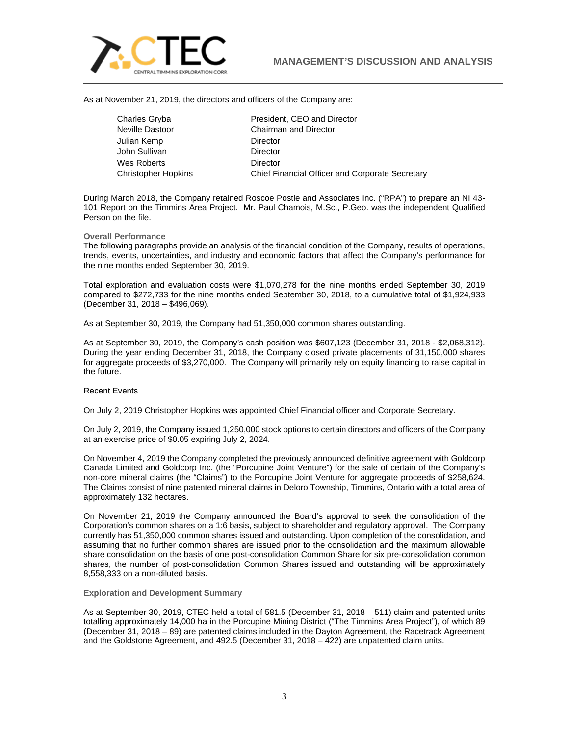

As at November 21, 2019, the directors and officers of the Company are:

Julian Kemp **Director** John Sullivan **Director** Wes Roberts **Director** 

Charles Gryba President, CEO and Director Neville Dastoor Chairman and Director Christopher Hopkins Chief Financial Officer and Corporate Secretary

During March 2018, the Company retained Roscoe Postle and Associates Inc. ("RPA") to prepare an NI 43- 101 Report on the Timmins Area Project. Mr. Paul Chamois, M.Sc., P.Geo. was the independent Qualified Person on the file.

## **Overall Performance**

The following paragraphs provide an analysis of the financial condition of the Company, results of operations, trends, events, uncertainties, and industry and economic factors that affect the Company's performance for the nine months ended September 30, 2019.

Total exploration and evaluation costs were \$1,070,278 for the nine months ended September 30, 2019 compared to \$272,733 for the nine months ended September 30, 2018, to a cumulative total of \$1,924,933 (December 31, 2018 – \$496,069).

As at September 30, 2019, the Company had 51,350,000 common shares outstanding.

As at September 30, 2019, the Company's cash position was \$607,123 (December 31, 2018 - \$2,068,312). During the year ending December 31, 2018, the Company closed private placements of 31,150,000 shares for aggregate proceeds of \$3,270,000. The Company will primarily rely on equity financing to raise capital in the future.

# Recent Events

On July 2, 2019 Christopher Hopkins was appointed Chief Financial officer and Corporate Secretary.

On July 2, 2019, the Company issued 1,250,000 stock options to certain directors and officers of the Company at an exercise price of \$0.05 expiring July 2, 2024.

On November 4, 2019 the Company completed the previously announced definitive agreement with Goldcorp Canada Limited and Goldcorp Inc. (the "Porcupine Joint Venture") for the sale of certain of the Company's non‐core mineral claims (the "Claims") to the Porcupine Joint Venture for aggregate proceeds of \$258,624. The Claims consist of nine patented mineral claims in Deloro Township, Timmins, Ontario with a total area of approximately 132 hectares.

On November 21, 2019 the Company announced the Board's approval to seek the consolidation of the Corporation's common shares on a 1:6 basis, subject to shareholder and regulatory approval. The Company currently has 51,350,000 common shares issued and outstanding. Upon completion of the consolidation, and assuming that no further common shares are issued prior to the consolidation and the maximum allowable share consolidation on the basis of one post-consolidation Common Share for six pre-consolidation common shares, the number of post-consolidation Common Shares issued and outstanding will be approximately 8,558,333 on a non-diluted basis.

## **Exploration and Development Summary**

As at September 30, 2019, CTEC held a total of 581.5 (December 31, 2018 – 511) claim and patented units totalling approximately 14,000 ha in the Porcupine Mining District ("The Timmins Area Project"), of which 89 (December 31, 2018 – 89) are patented claims included in the Dayton Agreement, the Racetrack Agreement and the Goldstone Agreement, and 492.5 (December 31, 2018 – 422) are unpatented claim units.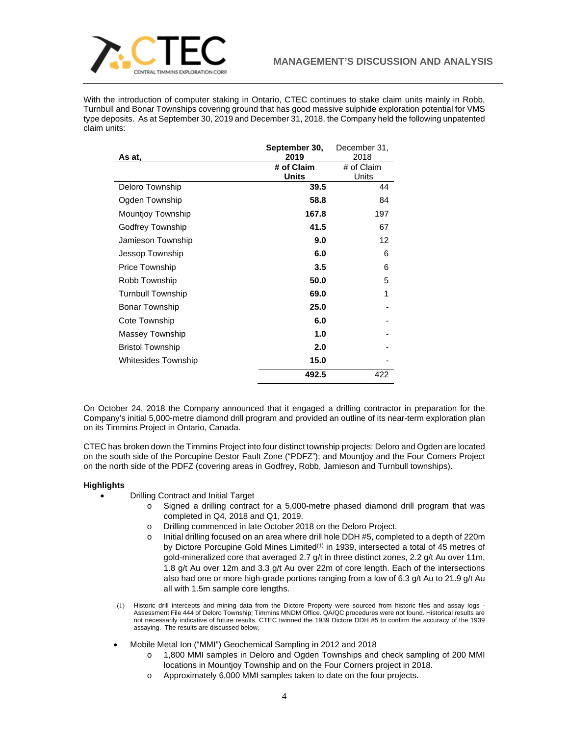

With the introduction of computer staking in Ontario, CTEC continues to stake claim units mainly in Robb, Turnbull and Bonar Townships covering ground that has good massive sulphide exploration potential for VMS type deposits. As at September 30, 2019 and December 31, 2018, the Company held the following unpatented claim units:

|                          | September 30, | December 31, |
|--------------------------|---------------|--------------|
| As at,                   | 2019          | 2018         |
|                          | # of Claim    | # of Claim   |
|                          | <b>Units</b>  | Units        |
| Deloro Township          | 39.5          | 44           |
| Ogden Township           | 58.8          | 84           |
| <b>Mountjoy Township</b> | 167.8         | 197          |
| Godfrey Township         | 41.5          | 67           |
| Jamieson Township        | 9.0           | 12           |
| Jessop Township          | 6.0           | 6            |
| <b>Price Township</b>    | 3.5           | 6            |
| Robb Township            | 50.0          | 5            |
| <b>Turnbull Township</b> | 69.0          | 1            |
| <b>Bonar Township</b>    | 25.0          |              |
| Cote Township            | 6.0           |              |
| Massey Township          | 1.0           |              |
| <b>Bristol Township</b>  | 2.0           |              |
| Whitesides Township      | 15.0          |              |
|                          | 492.5         | 422          |

On October 24, 2018 the Company announced that it engaged a drilling contractor in preparation for the Company's initial 5,000-metre diamond drill program and provided an outline of its near-term exploration plan on its Timmins Project in Ontario, Canada.

CTEC has broken down the Timmins Project into four distinct township projects: Deloro and Ogden are located on the south side of the Porcupine Destor Fault Zone ("PDFZ"); and Mountjoy and the Four Corners Project on the north side of the PDFZ (covering areas in Godfrey, Robb, Jamieson and Turnbull townships).

# **Highlights**

- Drilling Contract and Initial Target
	- o Signed a drilling contract for a 5,000-metre phased diamond drill program that was completed in Q4, 2018 and Q1, 2019.
	- o Drilling commenced in late October 2018 on the Deloro Project.
	- o Initial drilling focused on an area where drill hole DDH #5, completed to a depth of 220m by Dictore Porcupine Gold Mines Limited<sup>(1)</sup> in 1939, intersected a total of 45 metres of gold-mineralized core that averaged 2.7 g/t in three distinct zones, 2.2 g/t Au over 11m, 1.8 g/t Au over 12m and 3.3 g/t Au over 22m of core length. Each of the intersections also had one or more high-grade portions ranging from a low of 6.3 g/t Au to 21.9 g/t Au all with 1.5m sample core lengths.
- (1) Historic drill intercepts and mining data from the Dictore Property were sourced from historic files and assay logs Assessment File 444 of Deloro Township; Timmins MNDM Office. QA/QC procedures were not found. Historical results are not necessarily indicative of future results. CTEC twinned the 1939 Dictore DDH #5 to confirm the accuracy of the 1939 assaying. The results are discussed below,
- Mobile Metal Ion ("MMI") Geochemical Sampling in 2012 and 2018
	- o 1,800 MMI samples in Deloro and Ogden Townships and check sampling of 200 MMI locations in Mountjoy Township and on the Four Corners project in 2018.
	- o Approximately 6,000 MMI samples taken to date on the four projects.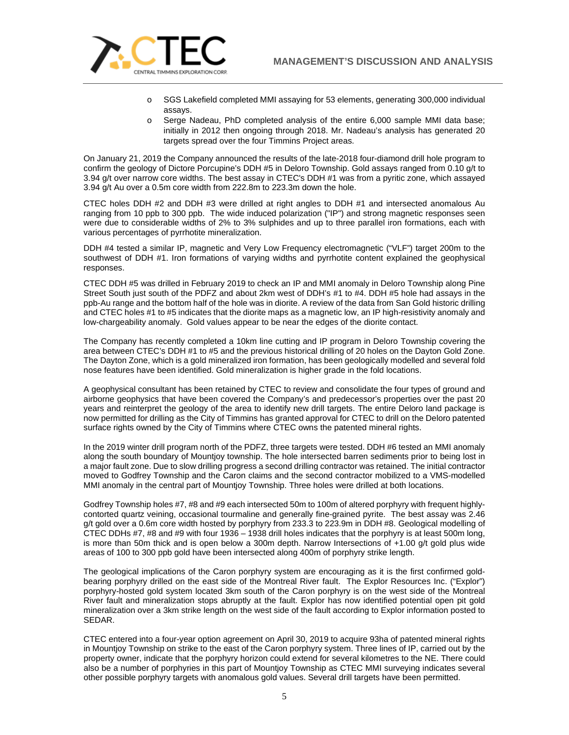

- o SGS Lakefield completed MMI assaying for 53 elements, generating 300,000 individual assays.
- o Serge Nadeau, PhD completed analysis of the entire 6,000 sample MMI data base; initially in 2012 then ongoing through 2018. Mr. Nadeau's analysis has generated 20 targets spread over the four Timmins Project areas.

On January 21, 2019 the Company announced the results of the late-2018 four-diamond drill hole program to confirm the geology of Dictore Porcupine's DDH #5 in Deloro Township. Gold assays ranged from 0.10 g/t to 3.94 g/t over narrow core widths. The best assay in CTEC's DDH #1 was from a pyritic zone, which assayed 3.94 g/t Au over a 0.5m core width from 222.8m to 223.3m down the hole.

CTEC holes DDH #2 and DDH #3 were drilled at right angles to DDH #1 and intersected anomalous Au ranging from 10 ppb to 300 ppb. The wide induced polarization ("IP") and strong magnetic responses seen were due to considerable widths of 2% to 3% sulphides and up to three parallel iron formations, each with various percentages of pyrrhotite mineralization.

DDH #4 tested a similar IP, magnetic and Very Low Frequency electromagnetic ("VLF") target 200m to the southwest of DDH #1. Iron formations of varying widths and pyrrhotite content explained the geophysical responses.

CTEC DDH #5 was drilled in February 2019 to check an IP and MMI anomaly in Deloro Township along Pine Street South just south of the PDFZ and about 2km west of DDH's #1 to #4. DDH #5 hole had assays in the ppb-Au range and the bottom half of the hole was in diorite. A review of the data from San Gold historic drilling and CTEC holes #1 to #5 indicates that the diorite maps as a magnetic low, an IP high-resistivity anomaly and low-chargeability anomaly. Gold values appear to be near the edges of the diorite contact.

The Company has recently completed a 10km line cutting and IP program in Deloro Township covering the area between CTEC's DDH #1 to #5 and the previous historical drilling of 20 holes on the Dayton Gold Zone. The Dayton Zone, which is a gold mineralized iron formation, has been geologically modelled and several fold nose features have been identified. Gold mineralization is higher grade in the fold locations.

A geophysical consultant has been retained by CTEC to review and consolidate the four types of ground and airborne geophysics that have been covered the Company's and predecessor's properties over the past 20 years and reinterpret the geology of the area to identify new drill targets. The entire Deloro land package is now permitted for drilling as the City of Timmins has granted approval for CTEC to drill on the Deloro patented surface rights owned by the City of Timmins where CTEC owns the patented mineral rights.

In the 2019 winter drill program north of the PDFZ, three targets were tested. DDH #6 tested an MMI anomaly along the south boundary of Mountjoy township. The hole intersected barren sediments prior to being lost in a major fault zone. Due to slow drilling progress a second drilling contractor was retained. The initial contractor moved to Godfrey Township and the Caron claims and the second contractor mobilized to a VMS-modelled MMI anomaly in the central part of Mountjoy Township. Three holes were drilled at both locations.

Godfrey Township holes #7, #8 and #9 each intersected 50m to 100m of altered porphyry with frequent highlycontorted quartz veining, occasional tourmaline and generally fine-grained pyrite. The best assay was 2.46 g/t gold over a 0.6m core width hosted by porphyry from 233.3 to 223.9m in DDH #8. Geological modelling of CTEC DDHs #7, #8 and #9 with four 1936 – 1938 drill holes indicates that the porphyry is at least 500m long, is more than 50m thick and is open below a 300m depth. Narrow Intersections of +1.00 g/t gold plus wide areas of 100 to 300 ppb gold have been intersected along 400m of porphyry strike length.

The geological implications of the Caron porphyry system are encouraging as it is the first confirmed goldbearing porphyry drilled on the east side of the Montreal River fault. The Explor Resources Inc. ("Explor") porphyry-hosted gold system located 3km south of the Caron porphyry is on the west side of the Montreal River fault and mineralization stops abruptly at the fault. Explor has now identified potential open pit gold mineralization over a 3km strike length on the west side of the fault according to Explor information posted to SEDAR.

CTEC entered into a four-year option agreement on April 30, 2019 to acquire 93ha of patented mineral rights in Mountjoy Township on strike to the east of the Caron porphyry system. Three lines of IP, carried out by the property owner, indicate that the porphyry horizon could extend for several kilometres to the NE. There could also be a number of porphyries in this part of Mountjoy Township as CTEC MMI surveying indicates several other possible porphyry targets with anomalous gold values. Several drill targets have been permitted.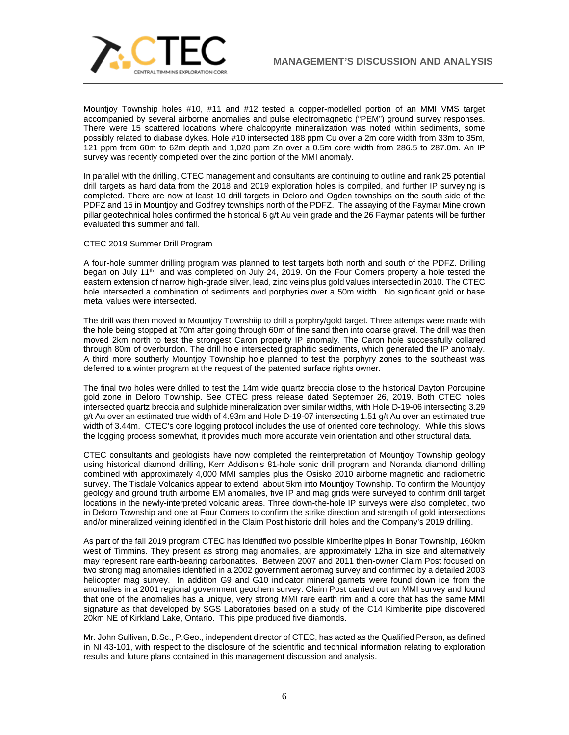

Mountjoy Township holes #10, #11 and #12 tested a copper-modelled portion of an MMI VMS target accompanied by several airborne anomalies and pulse electromagnetic ("PEM") ground survey responses. There were 15 scattered locations where chalcopyrite mineralization was noted within sediments, some possibly related to diabase dykes. Hole #10 intersected 188 ppm Cu over a 2m core width from 33m to 35m, 121 ppm from 60m to 62m depth and 1,020 ppm Zn over a 0.5m core width from 286.5 to 287.0m. An IP survey was recently completed over the zinc portion of the MMI anomaly.

In parallel with the drilling, CTEC management and consultants are continuing to outline and rank 25 potential drill targets as hard data from the 2018 and 2019 exploration holes is compiled, and further IP surveying is completed. There are now at least 10 drill targets in Deloro and Ogden townships on the south side of the PDFZ and 15 in Mountjoy and Godfrey townships north of the PDFZ. The assaying of the Faymar Mine crown pillar geotechnical holes confirmed the historical 6 g/t Au vein grade and the 26 Faymar patents will be further evaluated this summer and fall.

# CTEC 2019 Summer Drill Program

A four-hole summer drilling program was planned to test targets both north and south of the PDFZ. Drilling began on July 11<sup>th</sup> and was completed on July 24, 2019. On the Four Corners property a hole tested the eastern extension of narrow high-grade silver, lead, zinc veins plus gold values intersected in 2010. The CTEC hole intersected a combination of sediments and porphyries over a 50m width. No significant gold or base metal values were intersected.

The drill was then moved to Mountjoy Townshiip to drill a porphry/gold target. Three attemps were made with the hole being stopped at 70m after going through 60m of fine sand then into coarse gravel. The drill was then moved 2km north to test the strongest Caron property IP anomaly. The Caron hole successfully collared through 80m of overburdon. The drill hole intersected graphitic sediments, which generated the IP anomaly. A third more southerly Mountjoy Township hole planned to test the porphyry zones to the southeast was deferred to a winter program at the request of the patented surface rights owner.

The final two holes were drilled to test the 14m wide quartz breccia close to the historical Dayton Porcupine gold zone in Deloro Township. See CTEC press release dated September 26, 2019. Both CTEC holes intersected quartz breccia and sulphide mineralization over similar widths, with Hole D-19-06 intersecting 3.29 g/t Au over an estimated true width of 4.93m and Hole D-19-07 intersecting 1.51 g/t Au over an estimated true width of 3.44m. CTEC's core logging protocol includes the use of oriented core technology. While this slows the logging process somewhat, it provides much more accurate vein orientation and other structural data.

CTEC consultants and geologists have now completed the reinterpretation of Mountjoy Township geology using historical diamond drilling, Kerr Addison's 81-hole sonic drill program and Noranda diamond drilling combined with approximately 4,000 MMI samples plus the Osisko 2010 airborne magnetic and radiometric survey. The Tisdale Volcanics appear to extend about 5km into Mountjoy Township. To confirm the Mountjoy geology and ground truth airborne EM anomalies, five IP and mag grids were surveyed to confirm drill target locations in the newly-interpreted volcanic areas. Three down-the-hole IP surveys were also completed, two in Deloro Township and one at Four Corners to confirm the strike direction and strength of gold intersections and/or mineralized veining identified in the Claim Post historic drill holes and the Company's 2019 drilling.

As part of the fall 2019 program CTEC has identified two possible kimberlite pipes in Bonar Township, 160km west of Timmins. They present as strong mag anomalies, are approximately 12ha in size and alternatively may represent rare earth-bearing carbonatites. Between 2007 and 2011 then-owner Claim Post focused on two strong mag anomalies identified in a 2002 government aeromag survey and confirmed by a detailed 2003 helicopter mag survey. In addition G9 and G10 indicator mineral garnets were found down ice from the anomalies in a 2001 regional government geochem survey. Claim Post carried out an MMI survey and found that one of the anomalies has a unique, very strong MMI rare earth rim and a core that has the same MMI signature as that developed by SGS Laboratories based on a study of the C14 Kimberlite pipe discovered 20km NE of Kirkland Lake, Ontario. This pipe produced five diamonds.

Mr. John Sullivan, B.Sc., P.Geo., independent director of CTEC, has acted as the Qualified Person, as defined in NI 43-101, with respect to the disclosure of the scientific and technical information relating to exploration results and future plans contained in this management discussion and analysis.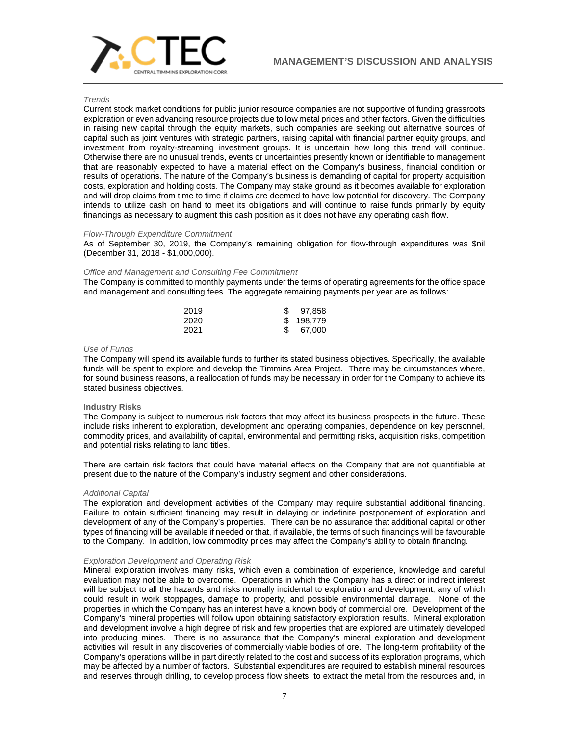

## *Trends*

Current stock market conditions for public junior resource companies are not supportive of funding grassroots exploration or even advancing resource projects due to low metal prices and other factors. Given the difficulties in raising new capital through the equity markets, such companies are seeking out alternative sources of capital such as joint ventures with strategic partners, raising capital with financial partner equity groups, and investment from royalty-streaming investment groups. It is uncertain how long this trend will continue. Otherwise there are no unusual trends, events or uncertainties presently known or identifiable to management that are reasonably expected to have a material effect on the Company's business, financial condition or results of operations. The nature of the Company's business is demanding of capital for property acquisition costs, exploration and holding costs. The Company may stake ground as it becomes available for exploration and will drop claims from time to time if claims are deemed to have low potential for discovery. The Company intends to utilize cash on hand to meet its obligations and will continue to raise funds primarily by equity financings as necessary to augment this cash position as it does not have any operating cash flow.

# *Flow-Through Expenditure Commitment*

As of September 30, 2019, the Company's remaining obligation for flow-through expenditures was \$nil (December 31, 2018 - \$1,000,000).

## *Office and Management and Consulting Fee Commitment*

The Company is committed to monthly payments under the terms of operating agreements for the office space and management and consulting fees. The aggregate remaining payments per year are as follows:

| 2019 | \$97,858  |
|------|-----------|
| 2020 | \$198.779 |
| 2021 | 67.000    |

### *Use of Funds*

The Company will spend its available funds to further its stated business objectives. Specifically, the available funds will be spent to explore and develop the Timmins Area Project. There may be circumstances where, for sound business reasons, a reallocation of funds may be necessary in order for the Company to achieve its stated business objectives.

#### **Industry Risks**

The Company is subject to numerous risk factors that may affect its business prospects in the future. These include risks inherent to exploration, development and operating companies, dependence on key personnel, commodity prices, and availability of capital, environmental and permitting risks, acquisition risks, competition and potential risks relating to land titles.

There are certain risk factors that could have material effects on the Company that are not quantifiable at present due to the nature of the Company's industry segment and other considerations.

#### *Additional Capital*

The exploration and development activities of the Company may require substantial additional financing. Failure to obtain sufficient financing may result in delaying or indefinite postponement of exploration and development of any of the Company's properties. There can be no assurance that additional capital or other types of financing will be available if needed or that, if available, the terms of such financings will be favourable to the Company. In addition, low commodity prices may affect the Company's ability to obtain financing.

#### *Exploration Development and Operating Risk*

Mineral exploration involves many risks, which even a combination of experience, knowledge and careful evaluation may not be able to overcome. Operations in which the Company has a direct or indirect interest will be subject to all the hazards and risks normally incidental to exploration and development, any of which could result in work stoppages, damage to property, and possible environmental damage. None of the properties in which the Company has an interest have a known body of commercial ore. Development of the Company's mineral properties will follow upon obtaining satisfactory exploration results. Mineral exploration and development involve a high degree of risk and few properties that are explored are ultimately developed into producing mines. There is no assurance that the Company's mineral exploration and development activities will result in any discoveries of commercially viable bodies of ore. The long-term profitability of the Company's operations will be in part directly related to the cost and success of its exploration programs, which may be affected by a number of factors. Substantial expenditures are required to establish mineral resources and reserves through drilling, to develop process flow sheets, to extract the metal from the resources and, in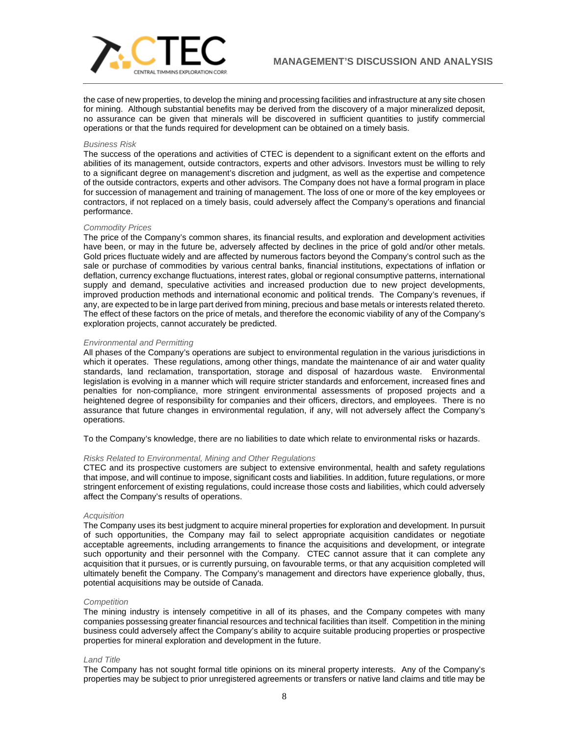

the case of new properties, to develop the mining and processing facilities and infrastructure at any site chosen for mining. Although substantial benefits may be derived from the discovery of a major mineralized deposit, no assurance can be given that minerals will be discovered in sufficient quantities to justify commercial operations or that the funds required for development can be obtained on a timely basis.

### *Business Risk*

The success of the operations and activities of CTEC is dependent to a significant extent on the efforts and abilities of its management, outside contractors, experts and other advisors. Investors must be willing to rely to a significant degree on management's discretion and judgment, as well as the expertise and competence of the outside contractors, experts and other advisors. The Company does not have a formal program in place for succession of management and training of management. The loss of one or more of the key employees or contractors, if not replaced on a timely basis, could adversely affect the Company's operations and financial performance.

### *Commodity Prices*

The price of the Company's common shares, its financial results, and exploration and development activities have been, or may in the future be, adversely affected by declines in the price of gold and/or other metals. Gold prices fluctuate widely and are affected by numerous factors beyond the Company's control such as the sale or purchase of commodities by various central banks, financial institutions, expectations of inflation or deflation, currency exchange fluctuations, interest rates, global or regional consumptive patterns, international supply and demand, speculative activities and increased production due to new project developments, improved production methods and international economic and political trends. The Company's revenues, if any, are expected to be in large part derived from mining, precious and base metals or interests related thereto. The effect of these factors on the price of metals, and therefore the economic viability of any of the Company's exploration projects, cannot accurately be predicted.

### *Environmental and Permitting*

All phases of the Company's operations are subject to environmental regulation in the various jurisdictions in which it operates. These regulations, among other things, mandate the maintenance of air and water quality standards, land reclamation, transportation, storage and disposal of hazardous waste. Environmental legislation is evolving in a manner which will require stricter standards and enforcement, increased fines and penalties for non-compliance, more stringent environmental assessments of proposed projects and a heightened degree of responsibility for companies and their officers, directors, and employees. There is no assurance that future changes in environmental regulation, if any, will not adversely affect the Company's operations.

To the Company's knowledge, there are no liabilities to date which relate to environmental risks or hazards.

## *Risks Related to Environmental, Mining and Other Regulations*

CTEC and its prospective customers are subject to extensive environmental, health and safety regulations that impose, and will continue to impose, significant costs and liabilities. In addition, future regulations, or more stringent enforcement of existing regulations, could increase those costs and liabilities, which could adversely affect the Company's results of operations.

#### *Acquisition*

The Company uses its best judgment to acquire mineral properties for exploration and development. In pursuit of such opportunities, the Company may fail to select appropriate acquisition candidates or negotiate acceptable agreements, including arrangements to finance the acquisitions and development, or integrate such opportunity and their personnel with the Company. CTEC cannot assure that it can complete any acquisition that it pursues, or is currently pursuing, on favourable terms, or that any acquisition completed will ultimately benefit the Company. The Company's management and directors have experience globally, thus, potential acquisitions may be outside of Canada.

#### *Competition*

The mining industry is intensely competitive in all of its phases, and the Company competes with many companies possessing greater financial resources and technical facilities than itself. Competition in the mining business could adversely affect the Company's ability to acquire suitable producing properties or prospective properties for mineral exploration and development in the future.

## *Land Title*

The Company has not sought formal title opinions on its mineral property interests. Any of the Company's properties may be subject to prior unregistered agreements or transfers or native land claims and title may be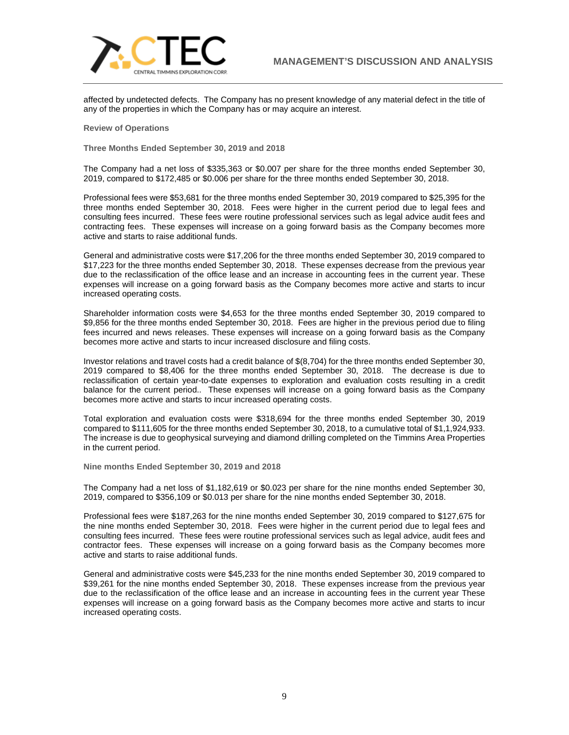

affected by undetected defects. The Company has no present knowledge of any material defect in the title of any of the properties in which the Company has or may acquire an interest.

**Review of Operations**

**Three Months Ended September 30, 2019 and 2018**

The Company had a net loss of \$335,363 or \$0.007 per share for the three months ended September 30, 2019, compared to \$172,485 or \$0.006 per share for the three months ended September 30, 2018.

Professional fees were \$53,681 for the three months ended September 30, 2019 compared to \$25,395 for the three months ended September 30, 2018. Fees were higher in the current period due to legal fees and consulting fees incurred. These fees were routine professional services such as legal advice audit fees and contracting fees. These expenses will increase on a going forward basis as the Company becomes more active and starts to raise additional funds.

General and administrative costs were \$17,206 for the three months ended September 30, 2019 compared to \$17,223 for the three months ended September 30, 2018. These expenses decrease from the previous year due to the reclassification of the office lease and an increase in accounting fees in the current year. These expenses will increase on a going forward basis as the Company becomes more active and starts to incur increased operating costs.

Shareholder information costs were \$4,653 for the three months ended September 30, 2019 compared to \$9,856 for the three months ended September 30, 2018. Fees are higher in the previous period due to filing fees incurred and news releases. These expenses will increase on a going forward basis as the Company becomes more active and starts to incur increased disclosure and filing costs.

Investor relations and travel costs had a credit balance of \$(8,704) for the three months ended September 30, 2019 compared to \$8,406 for the three months ended September 30, 2018. The decrease is due to reclassification of certain year-to-date expenses to exploration and evaluation costs resulting in a credit balance for the current period.. These expenses will increase on a going forward basis as the Company becomes more active and starts to incur increased operating costs.

Total exploration and evaluation costs were \$318,694 for the three months ended September 30, 2019 compared to \$111,605 for the three months ended September 30, 2018, to a cumulative total of \$1,1,924,933. The increase is due to geophysical surveying and diamond drilling completed on the Timmins Area Properties in the current period.

**Nine months Ended September 30, 2019 and 2018**

The Company had a net loss of \$1,182,619 or \$0.023 per share for the nine months ended September 30, 2019, compared to \$356,109 or \$0.013 per share for the nine months ended September 30, 2018.

Professional fees were \$187,263 for the nine months ended September 30, 2019 compared to \$127,675 for the nine months ended September 30, 2018. Fees were higher in the current period due to legal fees and consulting fees incurred. These fees were routine professional services such as legal advice, audit fees and contractor fees. These expenses will increase on a going forward basis as the Company becomes more active and starts to raise additional funds.

General and administrative costs were \$45,233 for the nine months ended September 30, 2019 compared to \$39,261 for the nine months ended September 30, 2018. These expenses increase from the previous year due to the reclassification of the office lease and an increase in accounting fees in the current year These expenses will increase on a going forward basis as the Company becomes more active and starts to incur increased operating costs.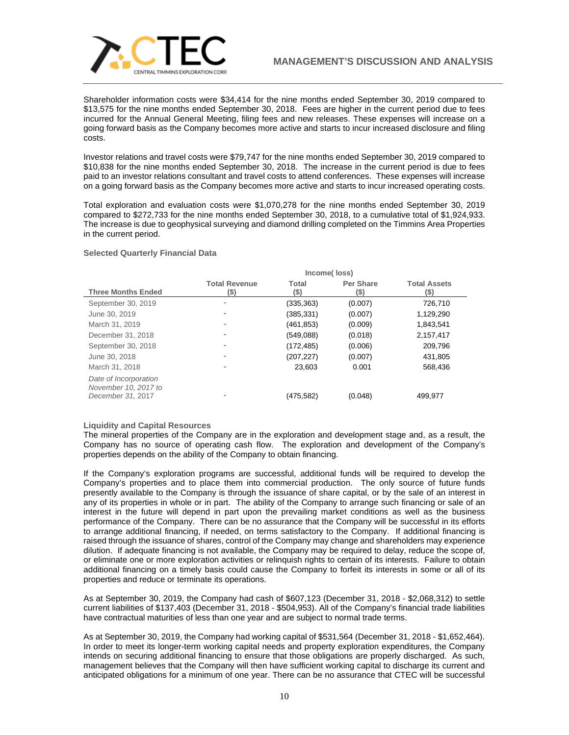

Shareholder information costs were \$34,414 for the nine months ended September 30, 2019 compared to \$13,575 for the nine months ended September 30, 2018. Fees are higher in the current period due to fees incurred for the Annual General Meeting, filing fees and new releases. These expenses will increase on a going forward basis as the Company becomes more active and starts to incur increased disclosure and filing costs.

Investor relations and travel costs were \$79,747 for the nine months ended September 30, 2019 compared to \$10,838 for the nine months ended September 30, 2018. The increase in the current period is due to fees paid to an investor relations consultant and travel costs to attend conferences. These expenses will increase on a going forward basis as the Company becomes more active and starts to incur increased operating costs.

Total exploration and evaluation costs were \$1,070,278 for the nine months ended September 30, 2019 compared to \$272,733 for the nine months ended September 30, 2018, to a cumulative total of \$1,924,933. The increase is due to geophysical surveying and diamond drilling completed on the Timmins Area Properties in the current period.

## **Selected Quarterly Financial Data**

|                                                                    | Income(Ioss)                 |               |                          |                             |  |
|--------------------------------------------------------------------|------------------------------|---------------|--------------------------|-----------------------------|--|
| <b>Three Months Ended</b>                                          | <b>Total Revenue</b><br>(\$) | Total<br>(\$) | <b>Per Share</b><br>(\$) | <b>Total Assets</b><br>(\$) |  |
| September 30, 2019                                                 | ۰                            | (335, 363)    | (0.007)                  | 726,710                     |  |
| June 30, 2019                                                      | $\overline{\phantom{a}}$     | (385, 331)    | (0.007)                  | 1,129,290                   |  |
| March 31, 2019                                                     | $\overline{\phantom{a}}$     | (461,853)     | (0.009)                  | 1,843,541                   |  |
| December 31, 2018                                                  | $\overline{\phantom{a}}$     | (549,088)     | (0.018)                  | 2,157,417                   |  |
| September 30, 2018                                                 | $\overline{\phantom{a}}$     | (172, 485)    | (0.006)                  | 209.796                     |  |
| June 30, 2018                                                      | $\overline{\phantom{a}}$     | (207, 227)    | (0.007)                  | 431,805                     |  |
| March 31, 2018                                                     |                              | 23.603        | 0.001                    | 568,436                     |  |
| Date of Incorporation<br>November 10, 2017 to<br>December 31, 2017 |                              | (475,582)     | (0.048)                  | 499.977                     |  |

## **Liquidity and Capital Resources**

The mineral properties of the Company are in the exploration and development stage and, as a result, the Company has no source of operating cash flow. The exploration and development of the Company's properties depends on the ability of the Company to obtain financing.

If the Company's exploration programs are successful, additional funds will be required to develop the Company's properties and to place them into commercial production. The only source of future funds presently available to the Company is through the issuance of share capital, or by the sale of an interest in any of its properties in whole or in part. The ability of the Company to arrange such financing or sale of an interest in the future will depend in part upon the prevailing market conditions as well as the business performance of the Company. There can be no assurance that the Company will be successful in its efforts to arrange additional financing, if needed, on terms satisfactory to the Company. If additional financing is raised through the issuance of shares, control of the Company may change and shareholders may experience dilution. If adequate financing is not available, the Company may be required to delay, reduce the scope of, or eliminate one or more exploration activities or relinquish rights to certain of its interests. Failure to obtain additional financing on a timely basis could cause the Company to forfeit its interests in some or all of its properties and reduce or terminate its operations.

As at September 30, 2019, the Company had cash of \$607,123 (December 31, 2018 - \$2,068,312) to settle current liabilities of \$137,403 (December 31, 2018 - \$504,953). All of the Company's financial trade liabilities have contractual maturities of less than one year and are subject to normal trade terms.

As at September 30, 2019, the Company had working capital of \$531,564 (December 31, 2018 - \$1,652,464). In order to meet its longer-term working capital needs and property exploration expenditures, the Company intends on securing additional financing to ensure that those obligations are properly discharged. As such, management believes that the Company will then have sufficient working capital to discharge its current and anticipated obligations for a minimum of one year. There can be no assurance that CTEC will be successful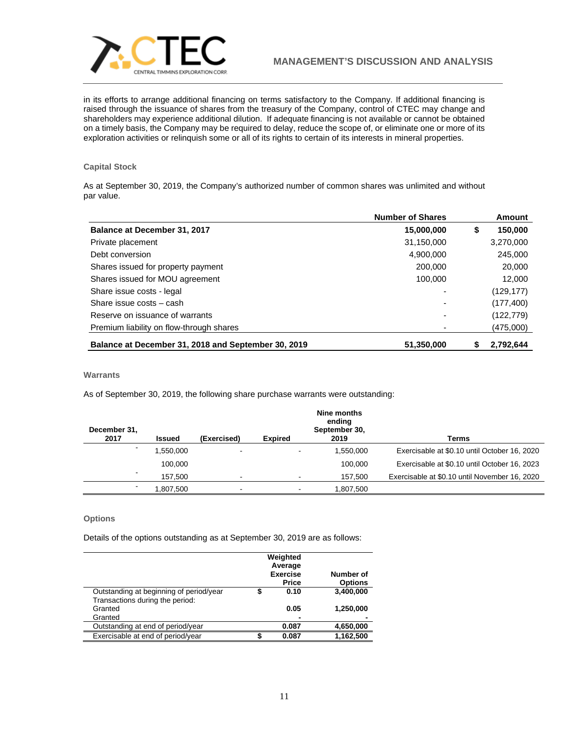

in its efforts to arrange additional financing on terms satisfactory to the Company. If additional financing is raised through the issuance of shares from the treasury of the Company, control of CTEC may change and shareholders may experience additional dilution. If adequate financing is not available or cannot be obtained on a timely basis, the Company may be required to delay, reduce the scope of, or eliminate one or more of its exploration activities or relinquish some or all of its rights to certain of its interests in mineral properties.

# **Capital Stock**

As at September 30, 2019, the Company's authorized number of common shares was unlimited and without par value.

|                                                     | <b>Number of Shares</b> | Amount        |
|-----------------------------------------------------|-------------------------|---------------|
| Balance at December 31, 2017                        | 15,000,000              | \$<br>150,000 |
| Private placement                                   | 31,150,000              | 3,270,000     |
| Debt conversion                                     | 4.900.000               | 245,000       |
| Shares issued for property payment                  | 200,000                 | 20,000        |
| Shares issued for MOU agreement                     | 100,000                 | 12,000        |
| Share issue costs - legal                           | ٠                       | (129, 177)    |
| Share issue costs - cash                            | ۰                       | (177, 400)    |
| Reserve on issuance of warrants                     | ٠                       | (122, 779)    |
| Premium liability on flow-through shares            |                         | (475,000)     |
| Balance at December 31, 2018 and September 30, 2019 | 51,350,000              | 2,792,644     |

# **Warrants**

As of September 30, 2019, the following share purchase warrants were outstanding:

| December 31, |           |                |                          | Nine months<br>ending<br>September 30, |                                               |
|--------------|-----------|----------------|--------------------------|----------------------------------------|-----------------------------------------------|
| 2017         | Issued    | (Exercised)    | <b>Expired</b>           | 2019                                   | Terms                                         |
|              | 1,550,000 | -              |                          | 1,550,000                              | Exercisable at \$0.10 until October 16, 2020  |
|              | 100.000   |                |                          | 100.000                                | Exercisable at \$0.10 until October 16, 2023  |
|              | 157.500   | -              |                          | 157.500                                | Exercisable at \$0.10 until November 16, 2020 |
|              | .807.500  | $\blacksquare$ | $\overline{\phantom{0}}$ | 1.807.500                              |                                               |

# **Options**

Details of the options outstanding as at September 30, 2019 are as follows:

|                                         | Weighted<br>Average<br><b>Exercise</b><br><b>Price</b> | Number of<br><b>Options</b> |
|-----------------------------------------|--------------------------------------------------------|-----------------------------|
| Outstanding at beginning of period/year | 0.10                                                   | 3,400,000                   |
| Transactions during the period:         |                                                        |                             |
| Granted                                 | 0.05                                                   | 1,250,000                   |
| Granted                                 | -                                                      |                             |
| Outstanding at end of period/year       | 0.087                                                  | 4,650,000                   |
| Exercisable at end of period/year       | 0.087                                                  | 1.162.500                   |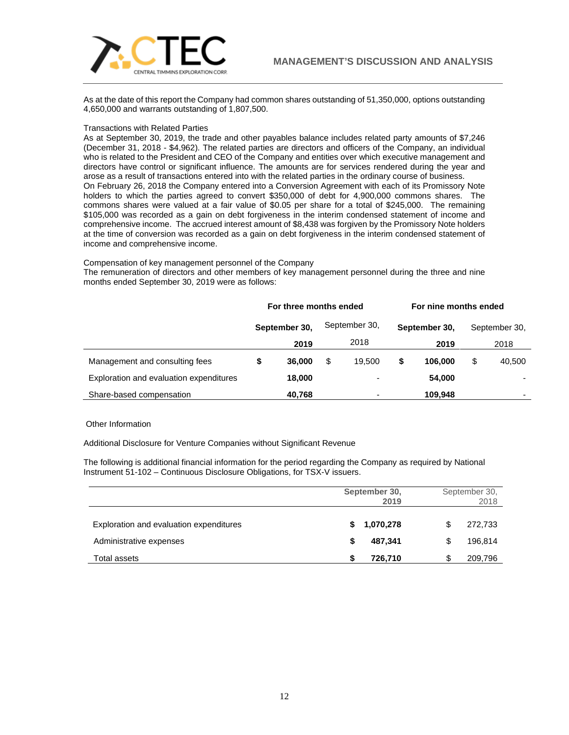

As at the date of this report the Company had common shares outstanding of 51,350,000, options outstanding 4,650,000 and warrants outstanding of 1,807,500.

# Transactions with Related Parties

As at September 30, 2019, the trade and other payables balance includes related party amounts of \$7,246 (December 31, 2018 - \$4,962). The related parties are directors and officers of the Company, an individual who is related to the President and CEO of the Company and entities over which executive management and directors have control or significant influence. The amounts are for services rendered during the year and arose as a result of transactions entered into with the related parties in the ordinary course of business. On February 26, 2018 the Company entered into a Conversion Agreement with each of its Promissory Note holders to which the parties agreed to convert \$350,000 of debt for 4,900,000 commons shares. The commons shares were valued at a fair value of \$0.05 per share for a total of \$245,000. The remaining \$105,000 was recorded as a gain on debt forgiveness in the interim condensed statement of income and comprehensive income. The accrued interest amount of \$8,438 was forgiven by the Promissory Note holders at the time of conversion was recorded as a gain on debt forgiveness in the interim condensed statement of income and comprehensive income.

## Compensation of key management personnel of the Company

The remuneration of directors and other members of key management personnel during the three and nine months ended September 30, 2019 were as follows:

|                                         | For three months ended |               |     | For nine months ended    |    |               |    |               |
|-----------------------------------------|------------------------|---------------|-----|--------------------------|----|---------------|----|---------------|
|                                         |                        | September 30, |     | September 30,            |    | September 30, |    | September 30, |
|                                         |                        | 2019          |     | 2018                     |    | 2019          |    | 2018          |
| Management and consulting fees          |                        | 36,000        | \$. | 19.500                   | \$ | 106.000       | \$ | 40,500        |
| Exploration and evaluation expenditures |                        | 18,000        |     | ۰                        |    | 54,000        |    |               |
| Share-based compensation                |                        | 40,768        |     | $\overline{\phantom{0}}$ |    | 109,948       |    |               |

# Other Information

Additional Disclosure for Venture Companies without Significant Revenue

The following is additional financial information for the period regarding the Company as required by National Instrument 51-102 – Continuous Disclosure Obligations, for TSX-V issuers.

|                                         | September 30,<br>2019 | September 30,<br>2018 |  |  |
|-----------------------------------------|-----------------------|-----------------------|--|--|
| Exploration and evaluation expenditures | \$1,070,278           | 272,733               |  |  |
| Administrative expenses                 | 487.341<br>S          | 196.814               |  |  |
| Total assets                            | 726,710               | 209,796               |  |  |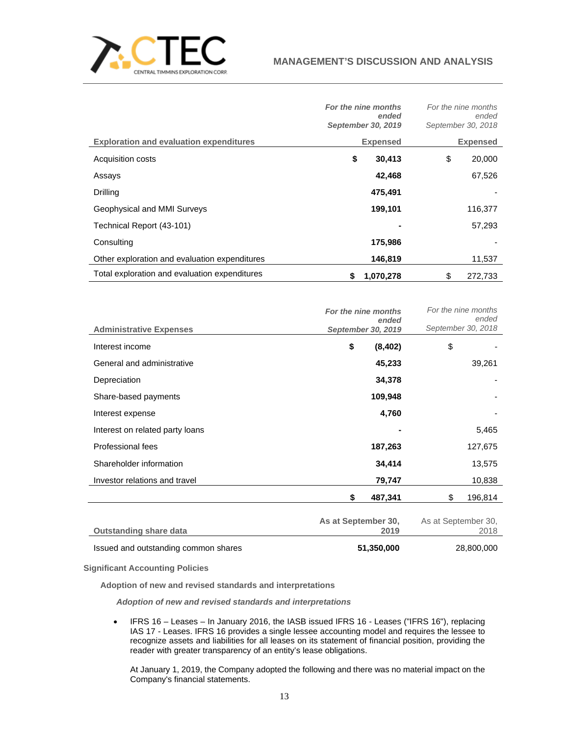

|                                                | For the nine months<br>ended<br>September 30, 2019 | For the nine months<br>ended<br>September 30, 2018 |
|------------------------------------------------|----------------------------------------------------|----------------------------------------------------|
| <b>Exploration and evaluation expenditures</b> | <b>Expensed</b>                                    | <b>Expensed</b>                                    |
| Acquisition costs                              | \$<br>30,413                                       | \$<br>20,000                                       |
| Assays                                         | 42,468                                             | 67,526                                             |
| Drilling                                       | 475,491                                            |                                                    |
| Geophysical and MMI Surveys                    | 199,101                                            | 116,377                                            |
| Technical Report (43-101)                      | ۰                                                  | 57,293                                             |
| Consulting                                     | 175,986                                            |                                                    |
| Other exploration and evaluation expenditures  | 146,819                                            | 11,537                                             |
| Total exploration and evaluation expenditures  | 1,070,278                                          | \$<br>272.733                                      |

|                                 | For the nine months<br>ended | For the nine months<br>ended |
|---------------------------------|------------------------------|------------------------------|
| <b>Administrative Expenses</b>  | September 30, 2019           | September 30, 2018           |
| Interest income                 | \$<br>(8, 402)               | \$                           |
| General and administrative      | 45,233                       | 39,261                       |
| Depreciation                    | 34,378                       |                              |
| Share-based payments            | 109,948                      |                              |
| Interest expense                | 4,760                        |                              |
| Interest on related party loans |                              | 5,465                        |
| Professional fees               | 187,263                      | 127,675                      |
| Shareholder information         | 34,414                       | 13,575                       |
| Investor relations and travel   | 79,747                       | 10,838                       |
|                                 | \$<br>487,341                | \$<br>196,814                |
| <b>Outstanding share data</b>   | As at September 30,<br>2019  | As at September 30,<br>2018  |

| <b>Patolahanny Undie data</b>        | ----       | ---        |
|--------------------------------------|------------|------------|
| Issued and outstanding common shares | 51,350,000 | 28,800,000 |

**Significant Accounting Policies**

**Adoption of new and revised standards and interpretations**

*Adoption of new and revised standards and interpretations*

• IFRS 16 – Leases – In January 2016, the IASB issued IFRS 16 - Leases ("IFRS 16"), replacing IAS 17 - Leases. IFRS 16 provides a single lessee accounting model and requires the lessee to recognize assets and liabilities for all leases on its statement of financial position, providing the reader with greater transparency of an entity's lease obligations.

At January 1, 2019, the Company adopted the following and there was no material impact on the Company's financial statements.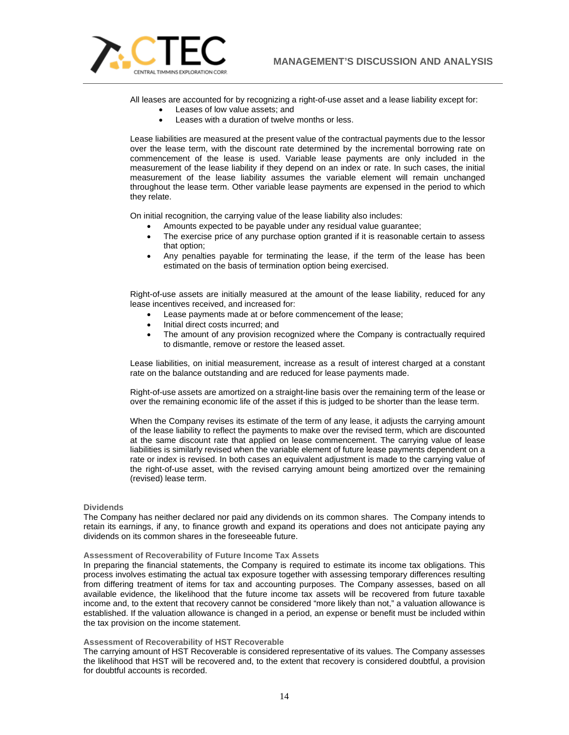

All leases are accounted for by recognizing a right-of-use asset and a lease liability except for:

- Leases of low value assets; and
- Leases with a duration of twelve months or less.

Lease liabilities are measured at the present value of the contractual payments due to the lessor over the lease term, with the discount rate determined by the incremental borrowing rate on commencement of the lease is used. Variable lease payments are only included in the measurement of the lease liability if they depend on an index or rate. In such cases, the initial measurement of the lease liability assumes the variable element will remain unchanged throughout the lease term. Other variable lease payments are expensed in the period to which they relate.

On initial recognition, the carrying value of the lease liability also includes:

- Amounts expected to be payable under any residual value guarantee;
- The exercise price of any purchase option granted if it is reasonable certain to assess that option;
- Any penalties payable for terminating the lease, if the term of the lease has been estimated on the basis of termination option being exercised.

Right-of-use assets are initially measured at the amount of the lease liability, reduced for any lease incentives received, and increased for:

- Lease payments made at or before commencement of the lease;
- Initial direct costs incurred: and
- The amount of any provision recognized where the Company is contractually required to dismantle, remove or restore the leased asset.

Lease liabilities, on initial measurement, increase as a result of interest charged at a constant rate on the balance outstanding and are reduced for lease payments made.

Right-of-use assets are amortized on a straight-line basis over the remaining term of the lease or over the remaining economic life of the asset if this is judged to be shorter than the lease term.

When the Company revises its estimate of the term of any lease, it adjusts the carrying amount of the lease liability to reflect the payments to make over the revised term, which are discounted at the same discount rate that applied on lease commencement. The carrying value of lease liabilities is similarly revised when the variable element of future lease payments dependent on a rate or index is revised. In both cases an equivalent adjustment is made to the carrying value of the right-of-use asset, with the revised carrying amount being amortized over the remaining (revised) lease term.

### **Dividends**

The Company has neither declared nor paid any dividends on its common shares. The Company intends to retain its earnings, if any, to finance growth and expand its operations and does not anticipate paying any dividends on its common shares in the foreseeable future.

### **Assessment of Recoverability of Future Income Tax Assets**

In preparing the financial statements, the Company is required to estimate its income tax obligations. This process involves estimating the actual tax exposure together with assessing temporary differences resulting from differing treatment of items for tax and accounting purposes. The Company assesses, based on all available evidence, the likelihood that the future income tax assets will be recovered from future taxable income and, to the extent that recovery cannot be considered "more likely than not," a valuation allowance is established. If the valuation allowance is changed in a period, an expense or benefit must be included within the tax provision on the income statement.

# **Assessment of Recoverability of HST Recoverable**

The carrying amount of HST Recoverable is considered representative of its values. The Company assesses the likelihood that HST will be recovered and, to the extent that recovery is considered doubtful, a provision for doubtful accounts is recorded.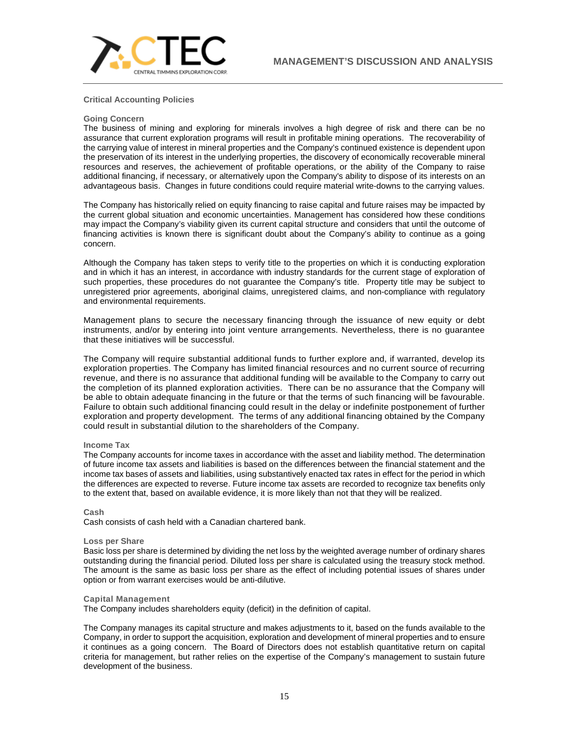

# **Critical Accounting Policies**

### **Going Concern**

The business of mining and exploring for minerals involves a high degree of risk and there can be no assurance that current exploration programs will result in profitable mining operations. The recoverability of the carrying value of interest in mineral properties and the Company's continued existence is dependent upon the preservation of its interest in the underlying properties, the discovery of economically recoverable mineral resources and reserves, the achievement of profitable operations, or the ability of the Company to raise additional financing, if necessary, or alternatively upon the Company's ability to dispose of its interests on an advantageous basis. Changes in future conditions could require material write-downs to the carrying values.

The Company has historically relied on equity financing to raise capital and future raises may be impacted by the current global situation and economic uncertainties. Management has considered how these conditions may impact the Company's viability given its current capital structure and considers that until the outcome of financing activities is known there is significant doubt about the Company's ability to continue as a going concern.

Although the Company has taken steps to verify title to the properties on which it is conducting exploration and in which it has an interest, in accordance with industry standards for the current stage of exploration of such properties, these procedures do not guarantee the Company's title. Property title may be subject to unregistered prior agreements, aboriginal claims, unregistered claims, and non-compliance with regulatory and environmental requirements.

Management plans to secure the necessary financing through the issuance of new equity or debt instruments, and/or by entering into joint venture arrangements. Nevertheless, there is no guarantee that these initiatives will be successful.

The Company will require substantial additional funds to further explore and, if warranted, develop its exploration properties. The Company has limited financial resources and no current source of recurring revenue, and there is no assurance that additional funding will be available to the Company to carry out the completion of its planned exploration activities. There can be no assurance that the Company will be able to obtain adequate financing in the future or that the terms of such financing will be favourable. Failure to obtain such additional financing could result in the delay or indefinite postponement of further exploration and property development. The terms of any additional financing obtained by the Company could result in substantial dilution to the shareholders of the Company.

## **Income Tax**

The Company accounts for income taxes in accordance with the asset and liability method. The determination of future income tax assets and liabilities is based on the differences between the financial statement and the income tax bases of assets and liabilities, using substantively enacted tax rates in effect for the period in which the differences are expected to reverse. Future income tax assets are recorded to recognize tax benefits only to the extent that, based on available evidence, it is more likely than not that they will be realized.

### **Cash**

Cash consists of cash held with a Canadian chartered bank.

### **Loss per Share**

Basic loss per share is determined by dividing the net loss by the weighted average number of ordinary shares outstanding during the financial period. Diluted loss per share is calculated using the treasury stock method. The amount is the same as basic loss per share as the effect of including potential issues of shares under option or from warrant exercises would be anti-dilutive.

## **Capital Management**

The Company includes shareholders equity (deficit) in the definition of capital.

The Company manages its capital structure and makes adjustments to it, based on the funds available to the Company, in order to support the acquisition, exploration and development of mineral properties and to ensure it continues as a going concern. The Board of Directors does not establish quantitative return on capital criteria for management, but rather relies on the expertise of the Company's management to sustain future development of the business.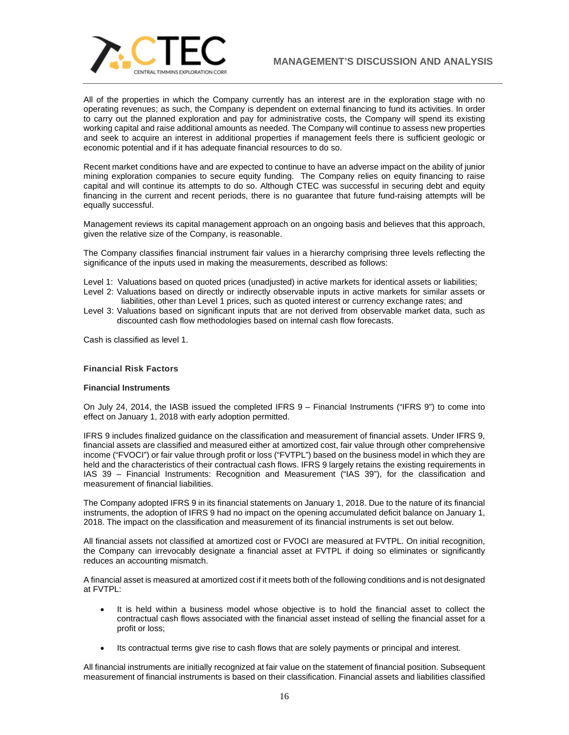

All of the properties in which the Company currently has an interest are in the exploration stage with no operating revenues; as such, the Company is dependent on external financing to fund its activities. In order to carry out the planned exploration and pay for administrative costs, the Company will spend its existing working capital and raise additional amounts as needed. The Company will continue to assess new properties and seek to acquire an interest in additional properties if management feels there is sufficient geologic or economic potential and if it has adequate financial resources to do so.

Recent market conditions have and are expected to continue to have an adverse impact on the ability of junior mining exploration companies to secure equity funding. The Company relies on equity financing to raise capital and will continue its attempts to do so. Although CTEC was successful in securing debt and equity financing in the current and recent periods, there is no guarantee that future fund-raising attempts will be equally successful.

Management reviews its capital management approach on an ongoing basis and believes that this approach, given the relative size of the Company, is reasonable.

The Company classifies financial instrument fair values in a hierarchy comprising three levels reflecting the significance of the inputs used in making the measurements, described as follows:

- Level 1: Valuations based on quoted prices (unadjusted) in active markets for identical assets or liabilities;
- Level 2: Valuations based on directly or indirectly observable inputs in active markets for similar assets or liabilities, other than Level 1 prices, such as quoted interest or currency exchange rates; and
- Level 3: Valuations based on significant inputs that are not derived from observable market data, such as discounted cash flow methodologies based on internal cash flow forecasts.

Cash is classified as level 1.

# **Financial Risk Factors**

# **Financial Instruments**

On July 24, 2014, the IASB issued the completed IFRS 9 – Financial Instruments ("IFRS 9") to come into effect on January 1, 2018 with early adoption permitted.

IFRS 9 includes finalized guidance on the classification and measurement of financial assets. Under IFRS 9, financial assets are classified and measured either at amortized cost, fair value through other comprehensive income ("FVOCI") or fair value through profit or loss ("FVTPL") based on the business model in which they are held and the characteristics of their contractual cash flows. IFRS 9 largely retains the existing requirements in IAS 39 – Financial Instruments: Recognition and Measurement ("IAS 39"), for the classification and measurement of financial liabilities.

The Company adopted IFRS 9 in its financial statements on January 1, 2018. Due to the nature of its financial instruments, the adoption of IFRS 9 had no impact on the opening accumulated deficit balance on January 1, 2018. The impact on the classification and measurement of its financial instruments is set out below.

All financial assets not classified at amortized cost or FVOCI are measured at FVTPL. On initial recognition, the Company can irrevocably designate a financial asset at FVTPL if doing so eliminates or significantly reduces an accounting mismatch.

A financial asset is measured at amortized cost if it meets both of the following conditions and is not designated at FVTPL:

- It is held within a business model whose objective is to hold the financial asset to collect the contractual cash flows associated with the financial asset instead of selling the financial asset for a profit or loss;
- Its contractual terms give rise to cash flows that are solely payments or principal and interest.

All financial instruments are initially recognized at fair value on the statement of financial position. Subsequent measurement of financial instruments is based on their classification. Financial assets and liabilities classified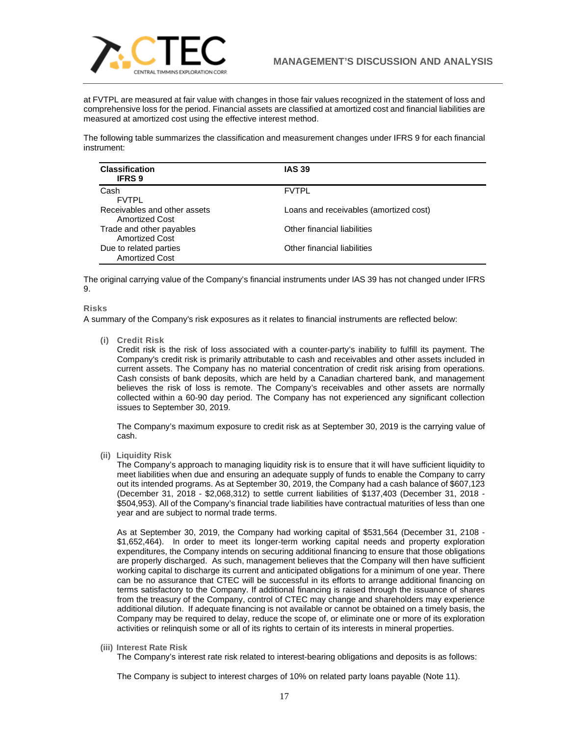

at FVTPL are measured at fair value with changes in those fair values recognized in the statement of loss and comprehensive loss for the period. Financial assets are classified at amortized cost and financial liabilities are measured at amortized cost using the effective interest method.

The following table summarizes the classification and measurement changes under IFRS 9 for each financial instrument:

| <b>Classification</b><br><b>IFRS 9</b>          | <b>IAS 39</b>                          |
|-------------------------------------------------|----------------------------------------|
| Cash<br><b>FVTPL</b>                            | <b>FVTPL</b>                           |
| Receivables and other assets<br>Amortized Cost  | Loans and receivables (amortized cost) |
| Trade and other payables<br>Amortized Cost      | Other financial liabilities            |
| Due to related parties<br><b>Amortized Cost</b> | Other financial liabilities            |

The original carrying value of the Company's financial instruments under IAS 39 has not changed under IFRS 9.

# **Risks**

A summary of the Company's risk exposures as it relates to financial instruments are reflected below:

**(i) Credit Risk**

Credit risk is the risk of loss associated with a counter-party's inability to fulfill its payment. The Company's credit risk is primarily attributable to cash and receivables and other assets included in current assets. The Company has no material concentration of credit risk arising from operations. Cash consists of bank deposits, which are held by a Canadian chartered bank, and management believes the risk of loss is remote. The Company's receivables and other assets are normally collected within a 60-90 day period. The Company has not experienced any significant collection issues to September 30, 2019.

The Company's maximum exposure to credit risk as at September 30, 2019 is the carrying value of cash.

**(ii) Liquidity Risk**

The Company's approach to managing liquidity risk is to ensure that it will have sufficient liquidity to meet liabilities when due and ensuring an adequate supply of funds to enable the Company to carry out its intended programs. As at September 30, 2019, the Company had a cash balance of \$607,123 (December 31, 2018 - \$2,068,312) to settle current liabilities of \$137,403 (December 31, 2018 - \$504,953). All of the Company's financial trade liabilities have contractual maturities of less than one year and are subject to normal trade terms.

As at September 30, 2019, the Company had working capital of \$531,564 (December 31, 2108 - \$1,652,464). In order to meet its longer-term working capital needs and property exploration expenditures, the Company intends on securing additional financing to ensure that those obligations are properly discharged. As such, management believes that the Company will then have sufficient working capital to discharge its current and anticipated obligations for a minimum of one year. There can be no assurance that CTEC will be successful in its efforts to arrange additional financing on terms satisfactory to the Company. If additional financing is raised through the issuance of shares from the treasury of the Company, control of CTEC may change and shareholders may experience additional dilution. If adequate financing is not available or cannot be obtained on a timely basis, the Company may be required to delay, reduce the scope of, or eliminate one or more of its exploration activities or relinquish some or all of its rights to certain of its interests in mineral properties.

**(iii) Interest Rate Risk**

The Company's interest rate risk related to interest-bearing obligations and deposits is as follows:

The Company is subject to interest charges of 10% on related party loans payable (Note 11).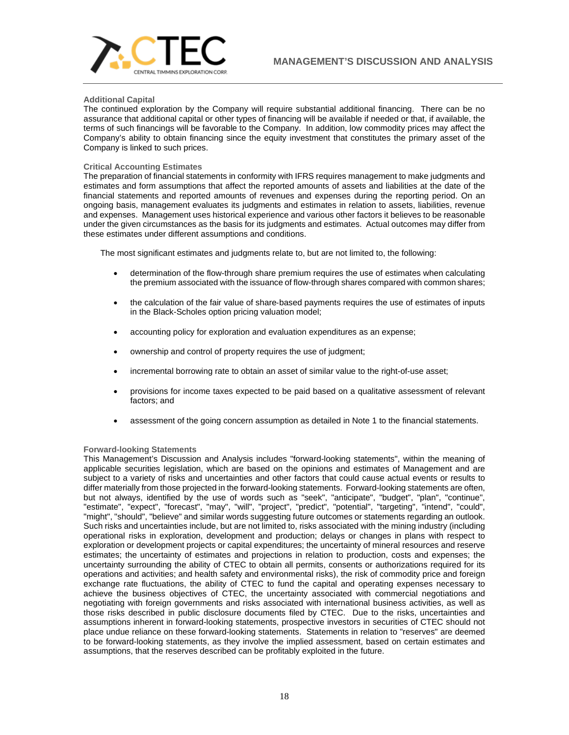

# **Additional Capital**

The continued exploration by the Company will require substantial additional financing. There can be no assurance that additional capital or other types of financing will be available if needed or that, if available, the terms of such financings will be favorable to the Company. In addition, low commodity prices may affect the Company's ability to obtain financing since the equity investment that constitutes the primary asset of the Company is linked to such prices.

# **Critical Accounting Estimates**

The preparation of financial statements in conformity with IFRS requires management to make judgments and estimates and form assumptions that affect the reported amounts of assets and liabilities at the date of the financial statements and reported amounts of revenues and expenses during the reporting period. On an ongoing basis, management evaluates its judgments and estimates in relation to assets, liabilities, revenue and expenses. Management uses historical experience and various other factors it believes to be reasonable under the given circumstances as the basis for its judgments and estimates. Actual outcomes may differ from these estimates under different assumptions and conditions.

The most significant estimates and judgments relate to, but are not limited to, the following:

- determination of the flow-through share premium requires the use of estimates when calculating the premium associated with the issuance of flow-through shares compared with common shares;
- the calculation of the fair value of share‐based payments requires the use of estimates of inputs in the Black-Scholes option pricing valuation model;
- accounting policy for exploration and evaluation expenditures as an expense;
- ownership and control of property requires the use of judgment;
- incremental borrowing rate to obtain an asset of similar value to the right-of-use asset;
- provisions for income taxes expected to be paid based on a qualitative assessment of relevant factors; and
- assessment of the going concern assumption as detailed in Note 1 to the financial statements.

## **Forward-looking Statements**

This Management's Discussion and Analysis includes "forward-looking statements", within the meaning of applicable securities legislation, which are based on the opinions and estimates of Management and are subject to a variety of risks and uncertainties and other factors that could cause actual events or results to differ materially from those projected in the forward-looking statements. Forward-looking statements are often, but not always, identified by the use of words such as "seek", "anticipate", "budget", "plan", "continue", "estimate", "expect", "forecast", "may", "will", "project", "predict", "potential", "targeting", "intend", "could", "might", "should", "believe" and similar words suggesting future outcomes or statements regarding an outlook. Such risks and uncertainties include, but are not limited to, risks associated with the mining industry (including operational risks in exploration, development and production; delays or changes in plans with respect to exploration or development projects or capital expenditures; the uncertainty of mineral resources and reserve estimates; the uncertainty of estimates and projections in relation to production, costs and expenses; the uncertainty surrounding the ability of CTEC to obtain all permits, consents or authorizations required for its operations and activities; and health safety and environmental risks), the risk of commodity price and foreign exchange rate fluctuations, the ability of CTEC to fund the capital and operating expenses necessary to achieve the business objectives of CTEC, the uncertainty associated with commercial negotiations and negotiating with foreign governments and risks associated with international business activities, as well as those risks described in public disclosure documents filed by CTEC. Due to the risks, uncertainties and assumptions inherent in forward-looking statements, prospective investors in securities of CTEC should not place undue reliance on these forward-looking statements. Statements in relation to "reserves" are deemed to be forward-looking statements, as they involve the implied assessment, based on certain estimates and assumptions, that the reserves described can be profitably exploited in the future.